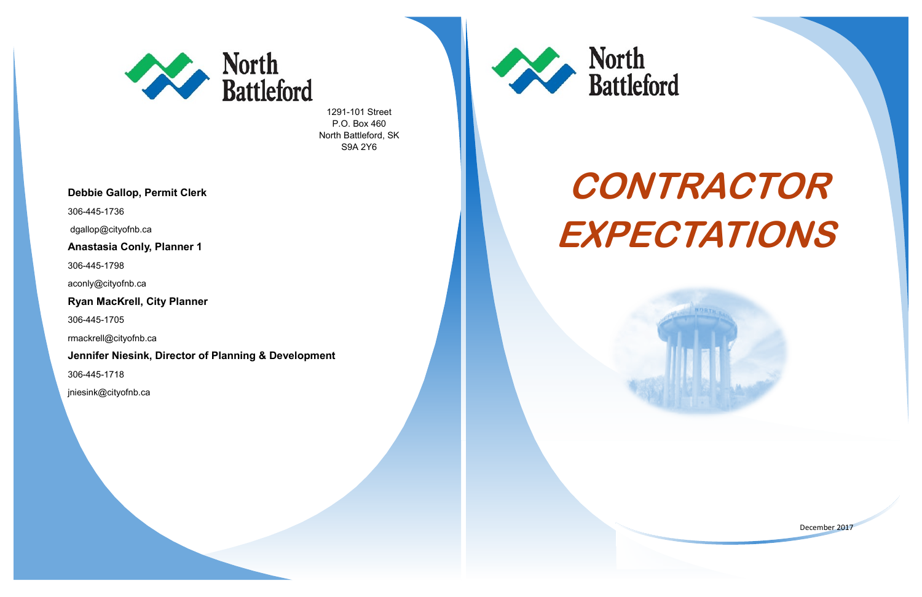

1291-101 Street P.O. Box 460 North Battleford, SK S9A 2Y6







#### **Debbie Gallop, Permit Clerk**

306-445-1736

dgallop@cityofnb.ca

## **Anastasia Conly, Planner 1**

306-445-1798

aconly@cityofnb.ca

### **Ryan MacKrell, City Planner**

306-445-1705

rmackrell@cityofnb.ca

#### **Jennifer Niesink, Director of Planning & Development**

306-445-1718

jniesink@cityofnb.ca